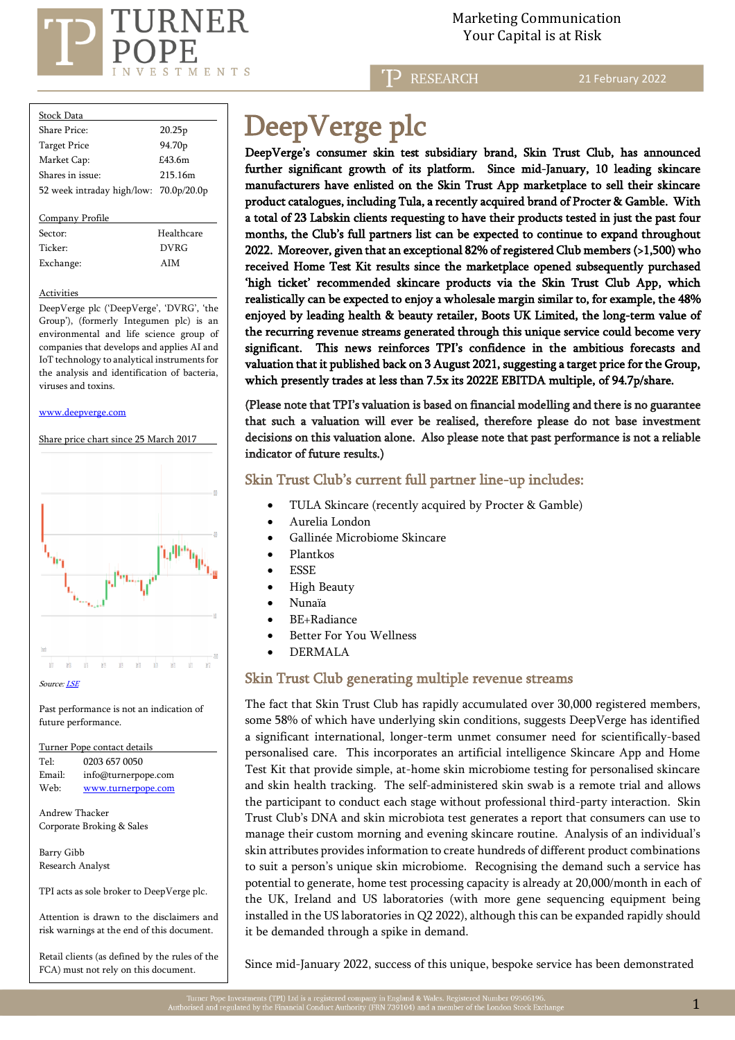

## Marketing Communication  $\mathrm{RNER} \hspace{2.5cm}$ Marketing Communicat<br>Your Capital is at Risk

**RESEARCH** 

21 February 2022

| Stock Data                             |                    |
|----------------------------------------|--------------------|
| Share Price:                           | 20.25p             |
| <b>Target Price</b>                    | 94.70 <sub>p</sub> |
| Market Cap:                            | $£43$ 6m           |
| Shares in issue:                       | 215.16m            |
| 52 week intraday high/low: 70.0p/20.0p |                    |
|                                        |                    |
| Company Profile                        |                    |
| Sector:                                | Healthcare         |
| Ticker:                                | DVRG               |
| Exchange:                              | AIM                |

#### **Activities**

DeepVerge plc ('DeepVerge', 'DVRG', 'the Group'), (formerly Integumen plc) is an environmental and life science group of companies that develops and applies AI and IoT technology to analytical instruments for the analysis and identification of bacteria, viruses and toxins.

#### [www.deepverge.com](http://www.deepverge.com/)

Share price chart since 25 March 2017



Past performance is not an indication of future performance.

Turner Pope contact details Tel: [0203](tel:0203) 657 0050 Email: info@turnerpope.com Web: [www.turnerpope.com](http://www.turnerpope.com/)

Andrew Thacker Corporate Broking & Sales

Barry Gibb Research Analyst

l

TPI acts as sole broker to DeepVerge plc.

Attention is drawn to the disclaimers and risk warnings at the end of this document.

Retail clients (as defined by the rules of the FCA) must not rely on this document.

# DeepVerge plc

DeepVerge's consumer skin test subsidiary brand, Skin Trust Club, has announced further significant growth of its platform. Since mid-January, 10 leading skincare manufacturers have enlisted on the Skin Trust App marketplace to sell their skincare product catalogues, including Tula, a recently acquired brand of Procter & Gamble. With a total of 23 Labskin clients requesting to have their products tested in just the past four months, the Club's full partners list can be expected to continue to expand throughout 2022. Moreover, given that an exceptional 82% of registered Club members (>1,500) who received Home Test Kit results since the marketplace opened subsequently purchased 'high ticket' recommended skincare products via the Skin Trust Club App, which realistically can be expected to enjoy a wholesale margin similar to, for example, the 48% enjoyed by leading health & beauty retailer, Boots UK Limited, the long-term value of the recurring revenue streams generated through this unique service could become very significant. This news reinforces TPI's confidence in the ambitious forecasts and valuation that it published back on 3 August 2021, suggesting a target price for the Group, which presently trades at less than 7.5x its 2022E EBITDA multiple, of 94.7p/share.

(Please note that TPI's valuation is based on financial modelling and there is no guarantee that such a valuation will ever be realised, therefore please do not base investment decisions on this valuation alone. Also please note that past performance is not a reliable indicator of future results.)

### Skin Trust Club's current full partner line-up includes:

- TULA Skincare (recently acquired by Procter & Gamble)
- Aurelia London
- Gallinée Microbiome Skincare
- Plantkos
- **ESSE**
- High Beauty
- Nunaïa
- BE+Radiance
- Better For You Wellness
- DERMALA

## Skin Trust Club generating multiple revenue streams

The fact that Skin Trust Club has rapidly accumulated over 30,000 registered members, some 58% of which have underlying skin conditions, suggests DeepVerge has identified a significant international, longer-term unmet consumer need for scientifically-based personalised care. This incorporates an artificial intelligence Skincare App and Home Test Kit that provide simple, at-home skin microbiome testing for personalised skincare and skin health tracking. The self-administered skin swab is a remote trial and allows the participant to conduct each stage without professional third-party interaction. Skin Trust Club's DNA and skin microbiota test generates a report that consumers can use to manage their custom morning and evening skincare routine. Analysis of an individual's skin attributes provides information to create hundreds of different product combinations to suit a person's unique skin microbiome. Recognising the demand such a service has potential to generate, home test processing capacity is already at 20,000/month in each of the UK, Ireland and US laboratories (with more gene sequencing equipment being installed in the US laboratories in Q2 2022), although this can be expanded rapidly should it be demanded through a spike in demand.

Since mid-January 2022, success of this unique, bespoke service has been demonstrated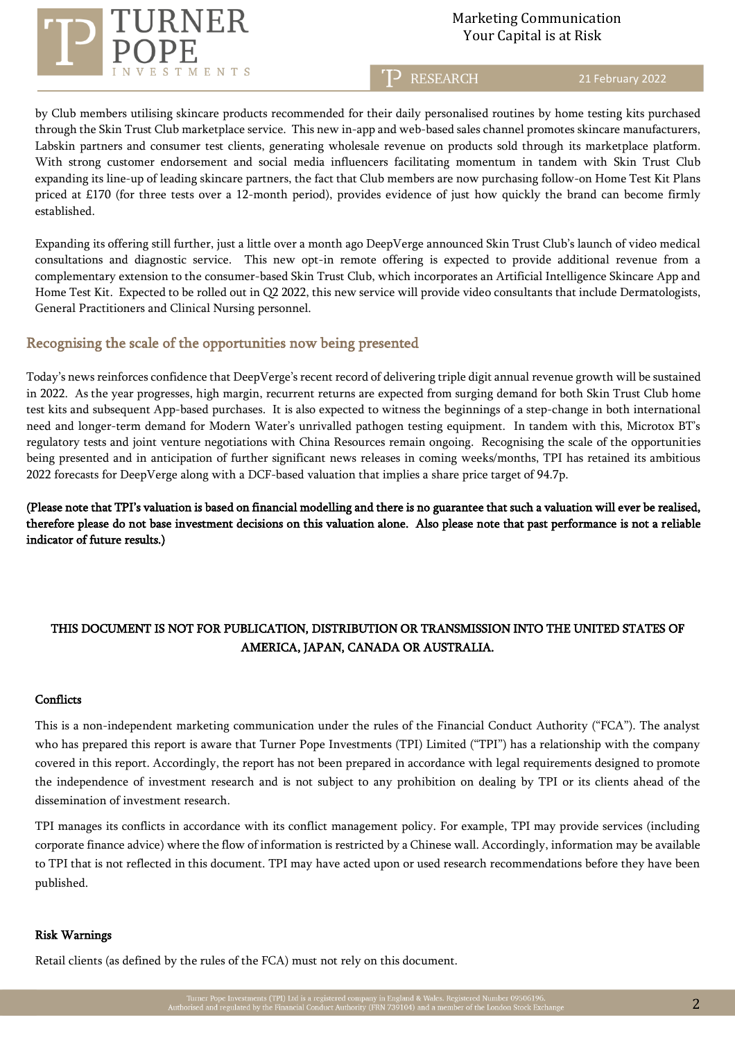

# Marketing Communication  $\operatorname{RNER} \begin{array}{ll} \hspace{5mm} \text{Marketing Communicati} \ \text{Your Capital is at Risk} \end{array}$

T<sub>2</sub> RESEARCH

21 February 2022

by Club members utilising skincare products recommended for their daily personalised routines by home testing kits purchased through the Skin Trust Club marketplace service. This new in-app and web-based sales channel promotes skincare manufacturers, Labskin partners and consumer test clients, generating wholesale revenue on products sold through its marketplace platform. With strong customer endorsement and social media influencers facilitating momentum in tandem with Skin Trust Club expanding its line-up of leading skincare partners, the fact that Club members are now purchasing follow-on Home Test Kit Plans priced at £170 (for three tests over a 12-month period), provides evidence of just how quickly the brand can become firmly established.

Expanding its offering still further, just a little over a month ago DeepVerge announced Skin Trust Club's launch of video medical consultations and diagnostic service. This new opt-in remote offering is expected to provide additional revenue from a complementary extension to the consumer-based Skin Trust Club, which incorporates an Artificial Intelligence Skincare App and Home Test Kit. Expected to be rolled out in Q2 2022, this new service will provide video consultants that include Dermatologists, General Practitioners and Clinical Nursing personnel.

## Recognising the scale of the opportunities now being presented

Today's news reinforces confidence that DeepVerge's recent record of delivering triple digit annual revenue growth will be sustained in 2022. As the year progresses, high margin, recurrent returns are expected from surging demand for both Skin Trust Club home test kits and subsequent App-based purchases. It is also expected to witness the beginnings of a step-change in both international need and longer-term demand for Modern Water's unrivalled pathogen testing equipment. In tandem with this, Microtox BT's regulatory tests and joint venture negotiations with China Resources remain ongoing. Recognising the scale of the opportunities being presented and in anticipation of further significant news releases in coming weeks/months, TPI has retained its ambitious 2022 forecasts for DeepVerge along with a DCF-based valuation that implies a share price target of 94.7p.

(Please note that TPI's valuation is based on financial modelling and there is no guarantee that such a valuation will ever be realised, therefore please do not base investment decisions on this valuation alone. Also please note that past performance is not a reliable indicator of future results.)

# THIS DOCUMENT IS NOT FOR PUBLICATION, DISTRIBUTION OR TRANSMISSION INTO THE UNITED STATES OF AMERICA, JAPAN, CANADA OR AUSTRALIA.

## **Conflicts**

This is a non-independent marketing communication under the rules of the Financial Conduct Authority ("FCA"). The analyst who has prepared this report is aware that Turner Pope Investments (TPI) Limited ("TPI") has a relationship with the company covered in this report. Accordingly, the report has not been prepared in accordance with legal requirements designed to promote the independence of investment research and is not subject to any prohibition on dealing by TPI or its clients ahead of the dissemination of investment research.

TPI manages its conflicts in accordance with its conflict management policy. For example, TPI may provide services (including corporate finance advice) where the flow of information is restricted by a Chinese wall. Accordingly, information may be available to TPI that is not reflected in this document. TPI may have acted upon or used research recommendations before they have been published.

#### Risk Warnings

Retail clients (as defined by the rules of the FCA) must not rely on this document.